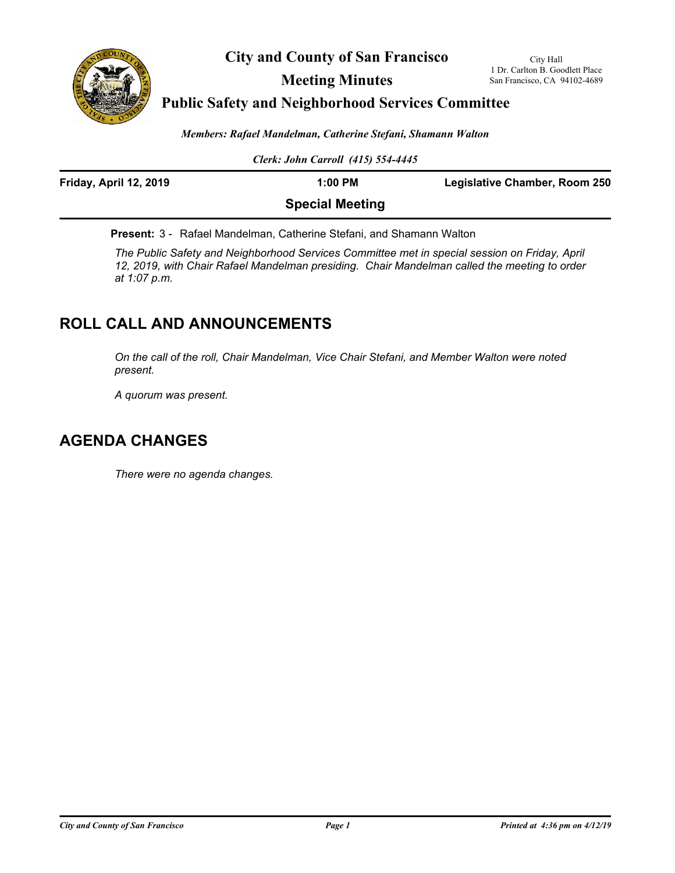

**City and County of San Francisco**

**Meeting Minutes**

### **Public Safety and Neighborhood Services Committee**

*Members: Rafael Mandelman, Catherine Stefani, Shamann Walton*

*Clerk: John Carroll (415) 554-4445*

| Friday, April 12, 2019 | $1:00$ PM              | <b>Legislative Chamber, Room 250</b> |
|------------------------|------------------------|--------------------------------------|
|                        | <b>Special Meeting</b> |                                      |

**Present:** 3 - Rafael Mandelman, Catherine Stefani, and Shamann Walton

*The Public Safety and Neighborhood Services Committee met in special session on Friday, April 12, 2019, with Chair Rafael Mandelman presiding. Chair Mandelman called the meeting to order at 1:07 p.m.*

# **ROLL CALL AND ANNOUNCEMENTS**

*On the call of the roll, Chair Mandelman, Vice Chair Stefani, and Member Walton were noted present.*

*A quorum was present.*

## **AGENDA CHANGES**

*There were no agenda changes.*